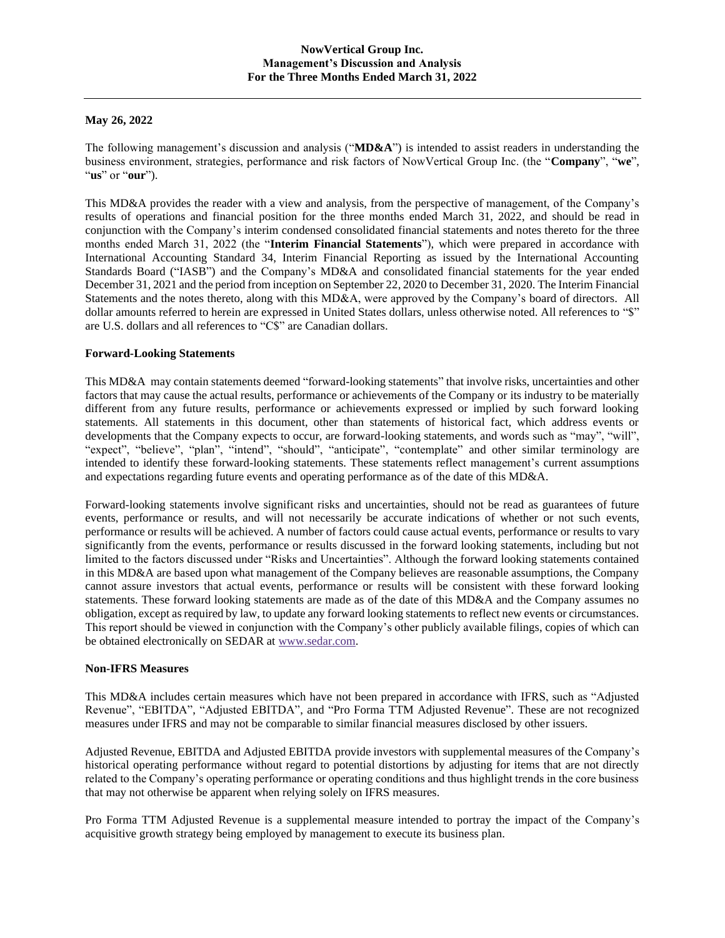# **May 26, 2022**

The following management's discussion and analysis ("**MD&A**") is intended to assist readers in understanding the business environment, strategies, performance and risk factors of NowVertical Group Inc. (the "**Company**", "**we**", "**us**" or "**our**").

This MD&A provides the reader with a view and analysis, from the perspective of management, of the Company's results of operations and financial position for the three months ended March 31, 2022, and should be read in conjunction with the Company's interim condensed consolidated financial statements and notes thereto for the three months ended March 31, 2022 (the "**Interim Financial Statements**"), which were prepared in accordance with International Accounting Standard 34, Interim Financial Reporting as issued by the International Accounting Standards Board ("IASB") and the Company's MD&A and consolidated financial statements for the year ended December 31, 2021 and the period from inception on September 22, 2020 to December 31, 2020. The Interim Financial Statements and the notes thereto, along with this MD&A, were approved by the Company's board of directors. All dollar amounts referred to herein are expressed in United States dollars, unless otherwise noted. All references to "\$" are U.S. dollars and all references to "C\$" are Canadian dollars.

## **Forward-Looking Statements**

This MD&A may contain statements deemed "forward-looking statements" that involve risks, uncertainties and other factors that may cause the actual results, performance or achievements of the Company or its industry to be materially different from any future results, performance or achievements expressed or implied by such forward looking statements. All statements in this document, other than statements of historical fact, which address events or developments that the Company expects to occur, are forward-looking statements, and words such as "may", "will", "expect", "believe", "plan", "intend", "should", "anticipate", "contemplate" and other similar terminology are intended to identify these forward-looking statements. These statements reflect management's current assumptions and expectations regarding future events and operating performance as of the date of this MD&A.

Forward-looking statements involve significant risks and uncertainties, should not be read as guarantees of future events, performance or results, and will not necessarily be accurate indications of whether or not such events, performance or results will be achieved. A number of factors could cause actual events, performance or results to vary significantly from the events, performance or results discussed in the forward looking statements, including but not limited to the factors discussed under "Risks and Uncertainties". Although the forward looking statements contained in this MD&A are based upon what management of the Company believes are reasonable assumptions, the Company cannot assure investors that actual events, performance or results will be consistent with these forward looking statements. These forward looking statements are made as of the date of this MD&A and the Company assumes no obligation, except as required by law, to update any forward looking statements to reflect new events or circumstances. This report should be viewed in conjunction with the Company's other publicly available filings, copies of which can be obtained electronically on SEDAR at [www.sedar.com.](file://///scan1.goodmans.ca/DPS_Files/~%20WORKING%20folders/1-Brad/www.sedar.com)

## **Non-IFRS Measures**

This MD&A includes certain measures which have not been prepared in accordance with IFRS, such as "Adjusted Revenue", "EBITDA", "Adjusted EBITDA", and "Pro Forma TTM Adjusted Revenue". These are not recognized measures under IFRS and may not be comparable to similar financial measures disclosed by other issuers.

Adjusted Revenue, EBITDA and Adjusted EBITDA provide investors with supplemental measures of the Company's historical operating performance without regard to potential distortions by adjusting for items that are not directly related to the Company's operating performance or operating conditions and thus highlight trends in the core business that may not otherwise be apparent when relying solely on IFRS measures.

Pro Forma TTM Adjusted Revenue is a supplemental measure intended to portray the impact of the Company's acquisitive growth strategy being employed by management to execute its business plan.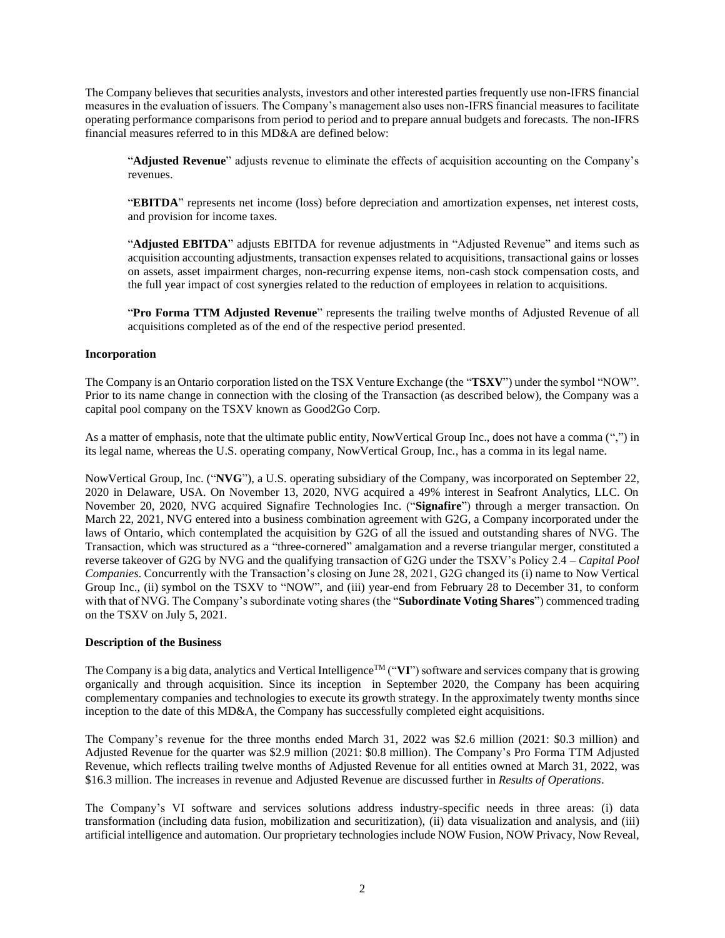The Company believes that securities analysts, investors and other interested parties frequently use non-IFRS financial measures in the evaluation of issuers. The Company's management also uses non-IFRS financial measures to facilitate operating performance comparisons from period to period and to prepare annual budgets and forecasts. The non-IFRS financial measures referred to in this MD&A are defined below:

"**Adjusted Revenue**" adjusts revenue to eliminate the effects of acquisition accounting on the Company's revenues.

"**EBITDA**" represents net income (loss) before depreciation and amortization expenses, net interest costs, and provision for income taxes.

"**Adjusted EBITDA**" adjusts EBITDA for revenue adjustments in "Adjusted Revenue" and items such as acquisition accounting adjustments, transaction expenses related to acquisitions, transactional gains or losses on assets, asset impairment charges, non-recurring expense items, non-cash stock compensation costs, and the full year impact of cost synergies related to the reduction of employees in relation to acquisitions.

"**Pro Forma TTM Adjusted Revenue**" represents the trailing twelve months of Adjusted Revenue of all acquisitions completed as of the end of the respective period presented.

## **Incorporation**

The Company is an Ontario corporation listed on the TSX Venture Exchange (the "**TSXV**") under the symbol "NOW". Prior to its name change in connection with the closing of the Transaction (as described below), the Company was a capital pool company on the TSXV known as Good2Go Corp.

As a matter of emphasis, note that the ultimate public entity, NowVertical Group Inc., does not have a comma (",") in its legal name, whereas the U.S. operating company, NowVertical Group, Inc., has a comma in its legal name.

NowVertical Group, Inc. ("**NVG**"), a U.S. operating subsidiary of the Company, was incorporated on September 22, 2020 in Delaware, USA. On November 13, 2020, NVG acquired a 49% interest in Seafront Analytics, LLC. On November 20, 2020, NVG acquired Signafire Technologies Inc. ("**Signafire**") through a merger transaction. On March 22, 2021, NVG entered into a business combination agreement with G2G, a Company incorporated under the laws of Ontario, which contemplated the acquisition by G2G of all the issued and outstanding shares of NVG. The Transaction, which was structured as a "three-cornered" amalgamation and a reverse triangular merger, constituted a reverse takeover of G2G by NVG and the qualifying transaction of G2G under the TSXV's Policy 2.4 – *Capital Pool Companies*. Concurrently with the Transaction's closing on June 28, 2021, G2G changed its (i) name to Now Vertical Group Inc., (ii) symbol on the TSXV to "NOW", and (iii) year-end from February 28 to December 31, to conform with that of NVG. The Company's subordinate voting shares (the "**Subordinate Voting Shares**") commenced trading on the TSXV on July 5, 2021.

## **Description of the Business**

The Company is a big data, analytics and Vertical Intelligence™ ("**VI**") software and services company that is growing organically and through acquisition. Since its inception in September 2020, the Company has been acquiring complementary companies and technologies to execute its growth strategy. In the approximately twenty months since inception to the date of this MD&A, the Company has successfully completed eight acquisitions.

The Company's revenue for the three months ended March 31, 2022 was \$2.6 million (2021: \$0.3 million) and Adjusted Revenue for the quarter was \$2.9 million (2021: \$0.8 million). The Company's Pro Forma TTM Adjusted Revenue, which reflects trailing twelve months of Adjusted Revenue for all entities owned at March 31, 2022, was \$16.3 million. The increases in revenue and Adjusted Revenue are discussed further in *Results of Operations*.

The Company's VI software and services solutions address industry-specific needs in three areas: (i) data transformation (including data fusion, mobilization and securitization), (ii) data visualization and analysis, and (iii) artificial intelligence and automation. Our proprietary technologies include NOW Fusion, NOW Privacy, Now Reveal,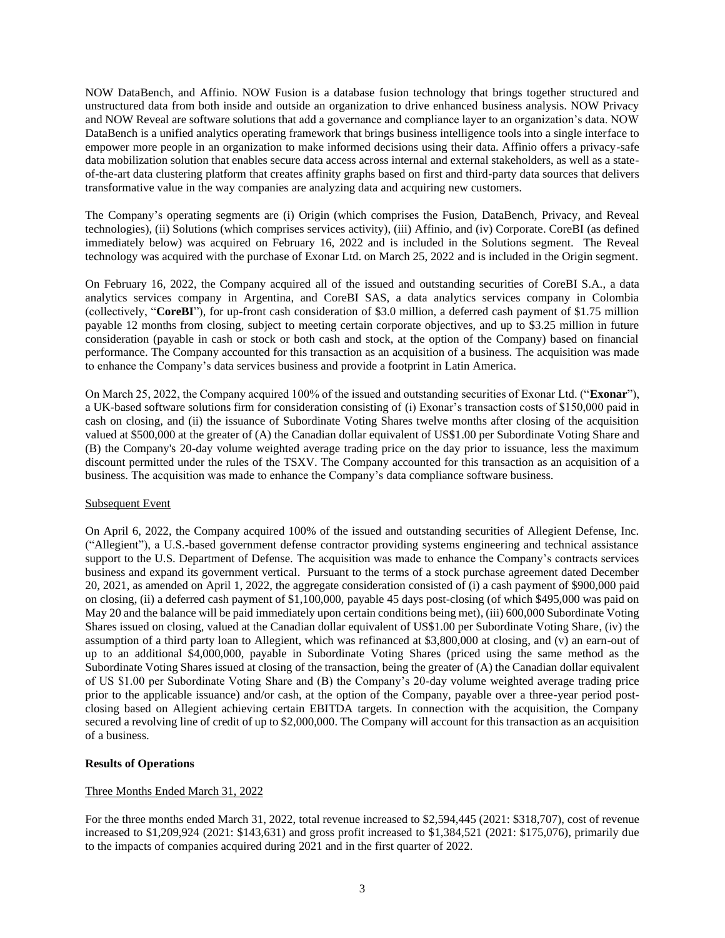NOW DataBench, and Affinio. NOW Fusion is a database fusion technology that brings together structured and unstructured data from both inside and outside an organization to drive enhanced business analysis. NOW Privacy and NOW Reveal are software solutions that add a governance and compliance layer to an organization's data. NOW DataBench is a unified analytics operating framework that brings business intelligence tools into a single interface to empower more people in an organization to make informed decisions using their data. Affinio offers a privacy-safe data mobilization solution that enables secure data access across internal and external stakeholders, as well as a stateof-the-art data clustering platform that creates affinity graphs based on first and third-party data sources that delivers transformative value in the way companies are analyzing data and acquiring new customers.

The Company's operating segments are (i) Origin (which comprises the Fusion, DataBench, Privacy, and Reveal technologies), (ii) Solutions (which comprises services activity), (iii) Affinio, and (iv) Corporate. CoreBI (as defined immediately below) was acquired on February 16, 2022 and is included in the Solutions segment. The Reveal technology was acquired with the purchase of Exonar Ltd. on March 25, 2022 and is included in the Origin segment.

On February 16, 2022, the Company acquired all of the issued and outstanding securities of CoreBI S.A., a data analytics services company in Argentina, and CoreBI SAS, a data analytics services company in Colombia (collectively, "**CoreBI**"), for up-front cash consideration of \$3.0 million, a deferred cash payment of \$1.75 million payable 12 months from closing, subject to meeting certain corporate objectives, and up to \$3.25 million in future consideration (payable in cash or stock or both cash and stock, at the option of the Company) based on financial performance. The Company accounted for this transaction as an acquisition of a business. The acquisition was made to enhance the Company's data services business and provide a footprint in Latin America.

On March 25, 2022, the Company acquired 100% of the issued and outstanding securities of Exonar Ltd. ("**Exonar**"), a UK-based software solutions firm for consideration consisting of (i) Exonar's transaction costs of \$150,000 paid in cash on closing, and (ii) the issuance of Subordinate Voting Shares twelve months after closing of the acquisition valued at \$500,000 at the greater of (A) the Canadian dollar equivalent of US\$1.00 per Subordinate Voting Share and (B) the Company's 20-day volume weighted average trading price on the day prior to issuance, less the maximum discount permitted under the rules of the TSXV. The Company accounted for this transaction as an acquisition of a business. The acquisition was made to enhance the Company's data compliance software business.

## Subsequent Event

On April 6, 2022, the Company acquired 100% of the issued and outstanding securities of Allegient Defense, Inc. ("Allegient"), a U.S.-based government defense contractor providing systems engineering and technical assistance support to the U.S. Department of Defense. The acquisition was made to enhance the Company's contracts services business and expand its government vertical. Pursuant to the terms of a stock purchase agreement dated December 20, 2021, as amended on April 1, 2022, the aggregate consideration consisted of (i) a cash payment of \$900,000 paid on closing, (ii) a deferred cash payment of \$1,100,000, payable 45 days post-closing (of which \$495,000 was paid on May 20 and the balance will be paid immediately upon certain conditions being met), (iii) 600,000 Subordinate Voting Shares issued on closing, valued at the Canadian dollar equivalent of US\$1.00 per Subordinate Voting Share, (iv) the assumption of a third party loan to Allegient, which was refinanced at \$3,800,000 at closing, and (v) an earn-out of up to an additional \$4,000,000, payable in Subordinate Voting Shares (priced using the same method as the Subordinate Voting Shares issued at closing of the transaction, being the greater of (A) the Canadian dollar equivalent of US \$1.00 per Subordinate Voting Share and (B) the Company's 20-day volume weighted average trading price prior to the applicable issuance) and/or cash, at the option of the Company, payable over a three-year period postclosing based on Allegient achieving certain EBITDA targets. In connection with the acquisition, the Company secured a revolving line of credit of up to \$2,000,000. The Company will account for this transaction as an acquisition of a business.

## **Results of Operations**

## Three Months Ended March 31, 2022

For the three months ended March 31, 2022, total revenue increased to \$2,594,445 (2021: \$318,707), cost of revenue increased to \$1,209,924 (2021: \$143,631) and gross profit increased to \$1,384,521 (2021: \$175,076), primarily due to the impacts of companies acquired during 2021 and in the first quarter of 2022.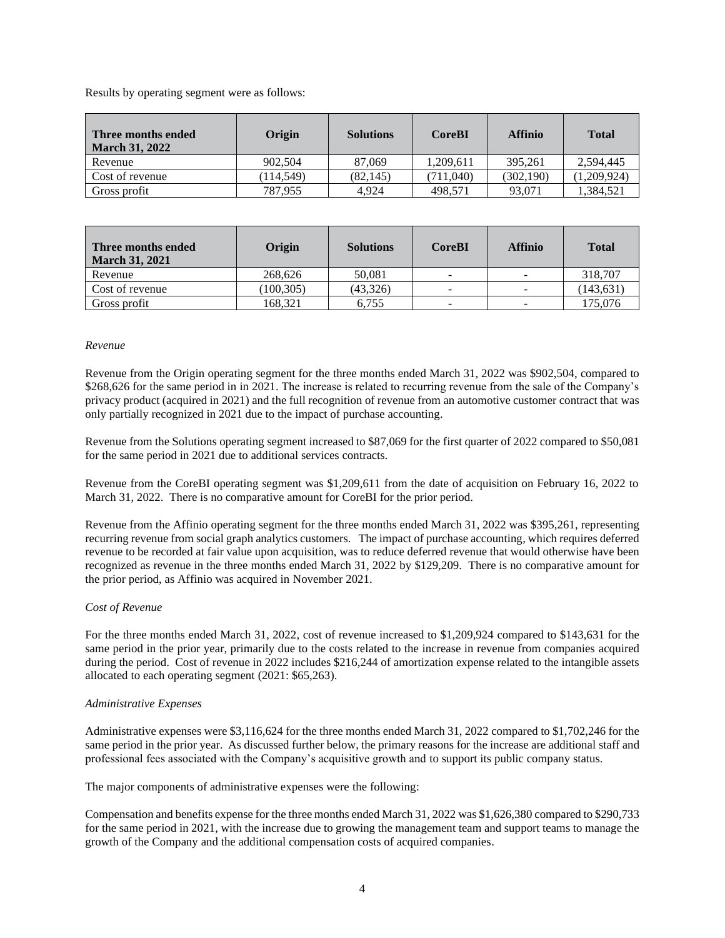Results by operating segment were as follows:

| Three months ended<br><b>March 31, 2022</b> | Origin    | <b>Solutions</b> | <b>CoreBI</b> | <b>Affinio</b> | <b>Total</b> |
|---------------------------------------------|-----------|------------------|---------------|----------------|--------------|
| Revenue                                     | 902,504   | 87,069           | 1.209.611     | 395.261        | 2.594.445    |
| Cost of revenue                             | (114.549) | (82, 145)        | 711,040)      | (302, 190)     | (1.209.924)  |
| Gross profit                                | 787.955   | 4.924            | 498.571       | 93.071         | 1,384,521    |

| Three months ended<br><b>March 31, 2021</b> | Origin     | <b>Solutions</b> | <b>CoreBI</b>            | <b>Affinio</b> | <b>Total</b> |
|---------------------------------------------|------------|------------------|--------------------------|----------------|--------------|
| Revenue                                     | 268,626    | 50.081           | $\overline{\phantom{a}}$ | -              | 318,707      |
| Cost of revenue                             | (100, 305) | (43,326)         | -                        | -              | (143, 631)   |
| Gross profit                                | 168.321    | 6.755            | -                        | -              | 175.076      |

## *Revenue*

Revenue from the Origin operating segment for the three months ended March 31, 2022 was \$902,504, compared to \$268,626 for the same period in in 2021. The increase is related to recurring revenue from the sale of the Company's privacy product (acquired in 2021) and the full recognition of revenue from an automotive customer contract that was only partially recognized in 2021 due to the impact of purchase accounting.

Revenue from the Solutions operating segment increased to \$87,069 for the first quarter of 2022 compared to \$50,081 for the same period in 2021 due to additional services contracts.

Revenue from the CoreBI operating segment was \$1,209,611 from the date of acquisition on February 16, 2022 to March 31, 2022. There is no comparative amount for CoreBI for the prior period.

Revenue from the Affinio operating segment for the three months ended March 31, 2022 was \$395,261, representing recurring revenue from social graph analytics customers. The impact of purchase accounting, which requires deferred revenue to be recorded at fair value upon acquisition, was to reduce deferred revenue that would otherwise have been recognized as revenue in the three months ended March 31, 2022 by \$129,209. There is no comparative amount for the prior period, as Affinio was acquired in November 2021.

## *Cost of Revenue*

For the three months ended March 31, 2022, cost of revenue increased to \$1,209,924 compared to \$143,631 for the same period in the prior year, primarily due to the costs related to the increase in revenue from companies acquired during the period. Cost of revenue in 2022 includes \$216,244 of amortization expense related to the intangible assets allocated to each operating segment (2021: \$65,263).

## *Administrative Expenses*

Administrative expenses were \$3,116,624 for the three months ended March 31, 2022 compared to \$1,702,246 for the same period in the prior year. As discussed further below, the primary reasons for the increase are additional staff and professional fees associated with the Company's acquisitive growth and to support its public company status.

The major components of administrative expenses were the following:

Compensation and benefits expense for the three months ended March 31, 2022 was \$1,626,380 compared to \$290,733 for the same period in 2021, with the increase due to growing the management team and support teams to manage the growth of the Company and the additional compensation costs of acquired companies.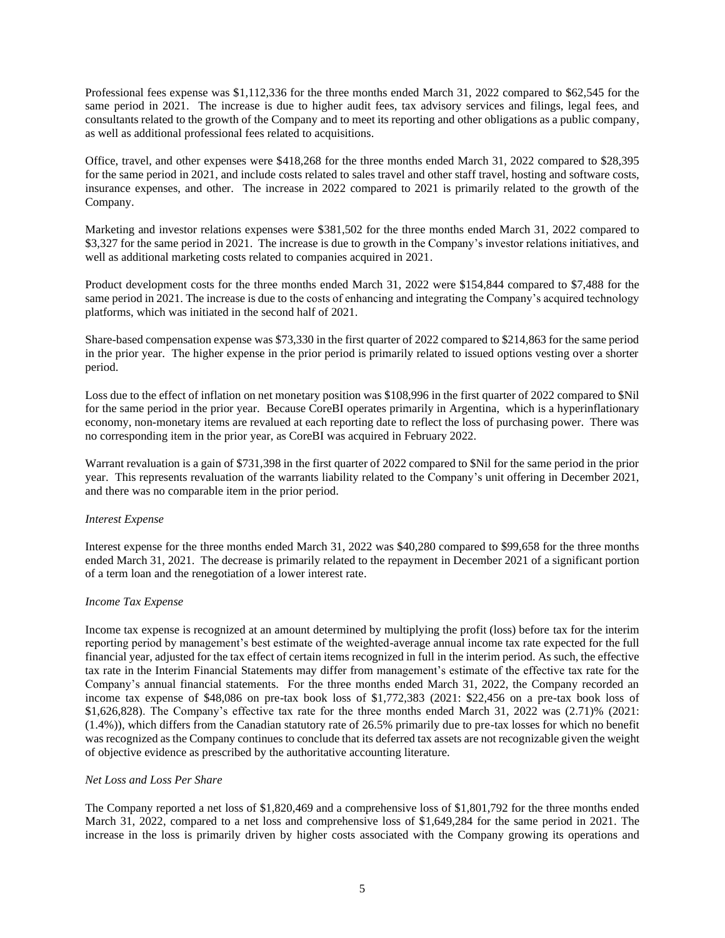Professional fees expense was \$1,112,336 for the three months ended March 31, 2022 compared to \$62,545 for the same period in 2021. The increase is due to higher audit fees, tax advisory services and filings, legal fees, and consultants related to the growth of the Company and to meet its reporting and other obligations as a public company, as well as additional professional fees related to acquisitions.

Office, travel, and other expenses were \$418,268 for the three months ended March 31, 2022 compared to \$28,395 for the same period in 2021, and include costs related to sales travel and other staff travel, hosting and software costs, insurance expenses, and other. The increase in 2022 compared to 2021 is primarily related to the growth of the Company.

Marketing and investor relations expenses were \$381,502 for the three months ended March 31, 2022 compared to \$3,327 for the same period in 2021. The increase is due to growth in the Company's investor relations initiatives, and well as additional marketing costs related to companies acquired in 2021.

Product development costs for the three months ended March 31, 2022 were \$154,844 compared to \$7,488 for the same period in 2021. The increase is due to the costs of enhancing and integrating the Company's acquired technology platforms, which was initiated in the second half of 2021.

Share-based compensation expense was \$73,330 in the first quarter of 2022 compared to \$214,863 for the same period in the prior year. The higher expense in the prior period is primarily related to issued options vesting over a shorter period.

Loss due to the effect of inflation on net monetary position was \$108,996 in the first quarter of 2022 compared to \$Nil for the same period in the prior year. Because CoreBI operates primarily in Argentina, which is a hyperinflationary economy, non-monetary items are revalued at each reporting date to reflect the loss of purchasing power. There was no corresponding item in the prior year, as CoreBI was acquired in February 2022.

Warrant revaluation is a gain of \$731,398 in the first quarter of 2022 compared to \$Nil for the same period in the prior year. This represents revaluation of the warrants liability related to the Company's unit offering in December 2021, and there was no comparable item in the prior period.

## *Interest Expense*

Interest expense for the three months ended March 31, 2022 was \$40,280 compared to \$99,658 for the three months ended March 31, 2021. The decrease is primarily related to the repayment in December 2021 of a significant portion of a term loan and the renegotiation of a lower interest rate.

## *Income Tax Expense*

Income tax expense is recognized at an amount determined by multiplying the profit (loss) before tax for the interim reporting period by management's best estimate of the weighted-average annual income tax rate expected for the full financial year, adjusted for the tax effect of certain items recognized in full in the interim period. As such, the effective tax rate in the Interim Financial Statements may differ from management's estimate of the effective tax rate for the Company's annual financial statements. For the three months ended March 31, 2022, the Company recorded an income tax expense of \$48,086 on pre-tax book loss of \$1,772,383 (2021: \$22,456 on a pre-tax book loss of \$1,626,828). The Company's effective tax rate for the three months ended March 31, 2022 was (2.71)% (2021: (1.4%)), which differs from the Canadian statutory rate of 26.5% primarily due to pre-tax losses for which no benefit was recognized as the Company continues to conclude that its deferred tax assets are not recognizable given the weight of objective evidence as prescribed by the authoritative accounting literature.

# *Net Loss and Loss Per Share*

The Company reported a net loss of \$1,820,469 and a comprehensive loss of \$1,801,792 for the three months ended March 31, 2022, compared to a net loss and comprehensive loss of \$1,649,284 for the same period in 2021. The increase in the loss is primarily driven by higher costs associated with the Company growing its operations and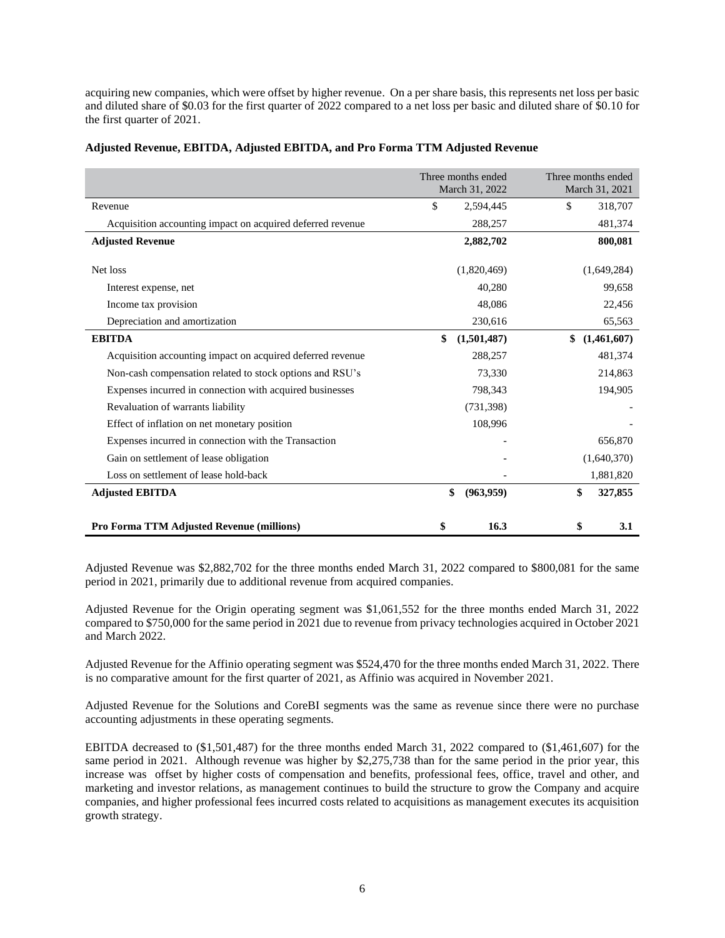acquiring new companies, which were offset by higher revenue. On a per share basis, this represents net loss per basic and diluted share of \$0.03 for the first quarter of 2022 compared to a net loss per basic and diluted share of \$0.10 for the first quarter of 2021.

|                                                            | Three months ended<br>March 31, 2022 |             | Three months ended<br>March 31, 2021 |             |
|------------------------------------------------------------|--------------------------------------|-------------|--------------------------------------|-------------|
| Revenue                                                    | \$                                   | 2,594,445   | \$                                   | 318,707     |
| Acquisition accounting impact on acquired deferred revenue |                                      | 288,257     |                                      | 481,374     |
| <b>Adjusted Revenue</b>                                    |                                      | 2,882,702   |                                      | 800,081     |
|                                                            |                                      |             |                                      |             |
| Net loss                                                   |                                      | (1,820,469) |                                      | (1,649,284) |
| Interest expense, net                                      |                                      | 40,280      |                                      | 99,658      |
| Income tax provision                                       |                                      | 48,086      |                                      | 22,456      |
| Depreciation and amortization                              |                                      | 230,616     |                                      | 65,563      |
| <b>EBITDA</b>                                              | \$                                   | (1,501,487) | \$                                   | (1,461,607) |
| Acquisition accounting impact on acquired deferred revenue |                                      | 288,257     |                                      | 481,374     |
| Non-cash compensation related to stock options and RSU's   |                                      | 73,330      |                                      | 214,863     |
| Expenses incurred in connection with acquired businesses   |                                      | 798,343     |                                      | 194,905     |
| Revaluation of warrants liability                          |                                      | (731, 398)  |                                      |             |
| Effect of inflation on net monetary position               | 108,996                              |             |                                      |             |
| Expenses incurred in connection with the Transaction       |                                      |             | 656,870                              |             |
| Gain on settlement of lease obligation                     |                                      |             | (1,640,370)                          |             |
| Loss on settlement of lease hold-back                      |                                      |             |                                      | 1,881,820   |
| <b>Adjusted EBITDA</b>                                     | \$                                   | (963, 959)  | \$                                   | 327,855     |
| Pro Forma TTM Adjusted Revenue (millions)                  | \$                                   | 16.3        | \$                                   | 3.1         |

## **Adjusted Revenue, EBITDA, Adjusted EBITDA, and Pro Forma TTM Adjusted Revenue**

Adjusted Revenue was \$2,882,702 for the three months ended March 31, 2022 compared to \$800,081 for the same period in 2021, primarily due to additional revenue from acquired companies.

Adjusted Revenue for the Origin operating segment was \$1,061,552 for the three months ended March 31, 2022 compared to \$750,000 for the same period in 2021 due to revenue from privacy technologies acquired in October 2021 and March 2022.

Adjusted Revenue for the Affinio operating segment was \$524,470 for the three months ended March 31, 2022. There is no comparative amount for the first quarter of 2021, as Affinio was acquired in November 2021.

Adjusted Revenue for the Solutions and CoreBI segments was the same as revenue since there were no purchase accounting adjustments in these operating segments.

EBITDA decreased to (\$1,501,487) for the three months ended March 31, 2022 compared to (\$1,461,607) for the same period in 2021. Although revenue was higher by \$2,275,738 than for the same period in the prior year, this increase was offset by higher costs of compensation and benefits, professional fees, office, travel and other, and marketing and investor relations, as management continues to build the structure to grow the Company and acquire companies, and higher professional fees incurred costs related to acquisitions as management executes its acquisition growth strategy.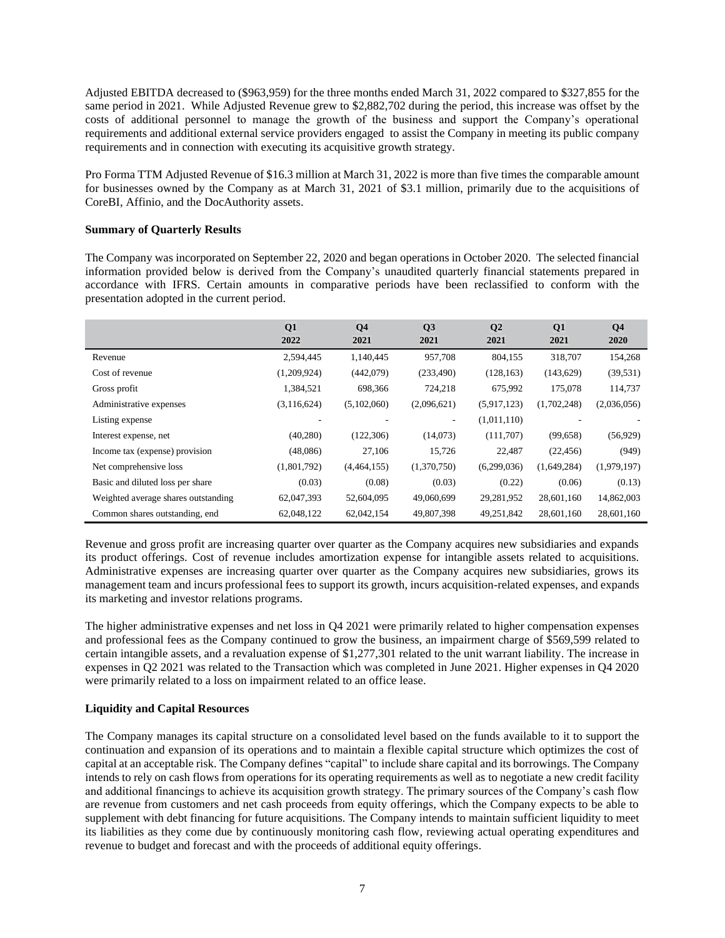Adjusted EBITDA decreased to (\$963,959) for the three months ended March 31, 2022 compared to \$327,855 for the same period in 2021. While Adjusted Revenue grew to \$2,882,702 during the period, this increase was offset by the costs of additional personnel to manage the growth of the business and support the Company's operational requirements and additional external service providers engaged to assist the Company in meeting its public company requirements and in connection with executing its acquisitive growth strategy.

Pro Forma TTM Adjusted Revenue of \$16.3 million at March 31, 2022 is more than five times the comparable amount for businesses owned by the Company as at March 31, 2021 of \$3.1 million, primarily due to the acquisitions of CoreBI, Affinio, and the DocAuthority assets.

## **Summary of Quarterly Results**

The Company was incorporated on September 22, 2020 and began operations in October 2020. The selected financial information provided below is derived from the Company's unaudited quarterly financial statements prepared in accordance with IFRS. Certain amounts in comparative periods have been reclassified to conform with the presentation adopted in the current period.

|                                     | Q1<br>2022  | Q <sub>4</sub><br>2021 | Q3<br>2021  | Q <sub>2</sub><br>2021 | Q <sub>1</sub><br>2021 | Q <sub>4</sub><br>2020 |
|-------------------------------------|-------------|------------------------|-------------|------------------------|------------------------|------------------------|
| Revenue                             | 2,594,445   | 1,140,445              | 957,708     | 804,155                | 318,707                | 154,268                |
| Cost of revenue                     | (1,209,924) | (442,079)              | (233, 490)  | (128, 163)             | (143, 629)             | (39, 531)              |
| Gross profit                        | 1,384,521   | 698,366                | 724,218     | 675,992                | 175,078                | 114,737                |
| Administrative expenses             | (3,116,624) | (5,102,060)            | (2,096,621) | (5,917,123)            | (1,702,248)            | (2,036,056)            |
| Listing expense                     |             |                        | ٠           | (1,011,110)            |                        |                        |
| Interest expense, net               | (40, 280)   | (122, 306)             | (14,073)    | (111,707)              | (99,658)               | (56, 929)              |
| Income tax (expense) provision      | (48,086)    | 27,106                 | 15,726      | 22,487                 | (22, 456)              | (949)                  |
| Net comprehensive loss              | (1,801,792) | (4,464,155)            | (1,370,750) | (6,299,036)            | (1,649,284)            | (1,979,197)            |
| Basic and diluted loss per share    | (0.03)      | (0.08)                 | (0.03)      | (0.22)                 | (0.06)                 | (0.13)                 |
| Weighted average shares outstanding | 62,047,393  | 52,604,095             | 49,060,699  | 29,281,952             | 28,601,160             | 14,862,003             |
| Common shares outstanding, end      | 62,048,122  | 62,042,154             | 49,807,398  | 49,251,842             | 28,601,160             | 28,601,160             |

Revenue and gross profit are increasing quarter over quarter as the Company acquires new subsidiaries and expands its product offerings. Cost of revenue includes amortization expense for intangible assets related to acquisitions. Administrative expenses are increasing quarter over quarter as the Company acquires new subsidiaries, grows its management team and incurs professional fees to support its growth, incurs acquisition-related expenses, and expands its marketing and investor relations programs.

The higher administrative expenses and net loss in Q4 2021 were primarily related to higher compensation expenses and professional fees as the Company continued to grow the business, an impairment charge of \$569,599 related to certain intangible assets, and a revaluation expense of \$1,277,301 related to the unit warrant liability. The increase in expenses in Q2 2021 was related to the Transaction which was completed in June 2021. Higher expenses in Q4 2020 were primarily related to a loss on impairment related to an office lease.

# **Liquidity and Capital Resources**

The Company manages its capital structure on a consolidated level based on the funds available to it to support the continuation and expansion of its operations and to maintain a flexible capital structure which optimizes the cost of capital at an acceptable risk. The Company defines "capital" to include share capital and its borrowings. The Company intends to rely on cash flows from operations for its operating requirements as well as to negotiate a new credit facility and additional financings to achieve its acquisition growth strategy. The primary sources of the Company's cash flow are revenue from customers and net cash proceeds from equity offerings, which the Company expects to be able to supplement with debt financing for future acquisitions. The Company intends to maintain sufficient liquidity to meet its liabilities as they come due by continuously monitoring cash flow, reviewing actual operating expenditures and revenue to budget and forecast and with the proceeds of additional equity offerings.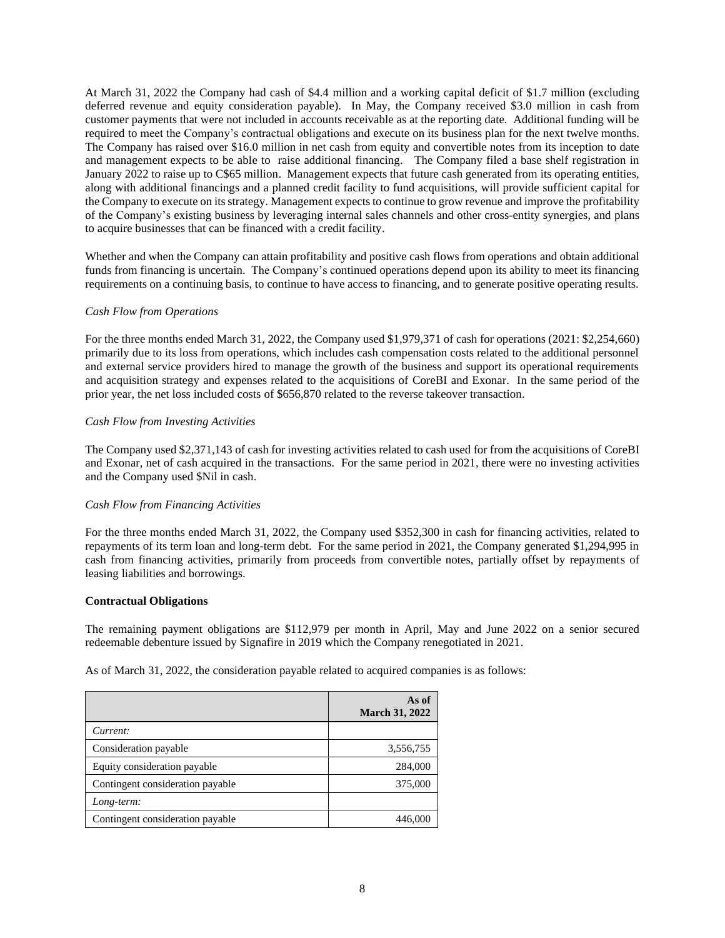At March 31, 2022 the Company had cash of \$4.4 million and a working capital deficit of \$1.7 million (excluding deferred revenue and equity consideration payable). In May, the Company received \$3.0 million in cash from customer payments that were not included in accounts receivable as at the reporting date. Additional funding will be required to meet the Company's contractual obligations and execute on its business plan for the next twelve months. The Company has raised over \$16.0 million in net cash from equity and convertible notes from its inception to date and management expects to be able to raise additional financing. The Company filed a base shelf registration in January 2022 to raise up to C\$65 million. Management expects that future cash generated from its operating entities, along with additional financings and a planned credit facility to fund acquisitions, will provide sufficient capital for the Company to execute on its strategy. Management expects to continue to grow revenue and improve the profitability of the Company's existing business by leveraging internal sales channels and other cross-entity synergies, and plans to acquire businesses that can be financed with a credit facility.

Whether and when the Company can attain profitability and positive cash flows from operations and obtain additional funds from financing is uncertain. The Company's continued operations depend upon its ability to meet its financing requirements on a continuing basis, to continue to have access to financing, and to generate positive operating results.

# *Cash Flow from Operations*

For the three months ended March 31, 2022, the Company used \$1,979,371 of cash for operations (2021: \$2,254,660) primarily due to its loss from operations, which includes cash compensation costs related to the additional personnel and external service providers hired to manage the growth of the business and support its operational requirements and acquisition strategy and expenses related to the acquisitions of CoreBI and Exonar. In the same period of the prior year, the net loss included costs of \$656,870 related to the reverse takeover transaction.

## *Cash Flow from Investing Activities*

The Company used \$2,371,143 of cash for investing activities related to cash used for from the acquisitions of CoreBI and Exonar, net of cash acquired in the transactions. For the same period in 2021, there were no investing activities and the Company used \$Nil in cash.

# *Cash Flow from Financing Activities*

For the three months ended March 31, 2022, the Company used \$352,300 in cash for financing activities, related to repayments of its term loan and long-term debt. For the same period in 2021, the Company generated \$1,294,995 in cash from financing activities, primarily from proceeds from convertible notes, partially offset by repayments of leasing liabilities and borrowings.

## **Contractual Obligations**

The remaining payment obligations are \$112,979 per month in April, May and June 2022 on a senior secured redeemable debenture issued by Signafire in 2019 which the Company renegotiated in 2021.

As of March 31, 2022, the consideration payable related to acquired companies is as follows:

|                                  | As of<br><b>March 31, 2022</b> |
|----------------------------------|--------------------------------|
| Current:                         |                                |
| Consideration payable            | 3,556,755                      |
| Equity consideration payable     | 284,000                        |
| Contingent consideration payable | 375,000                        |
| Long-term:                       |                                |
| Contingent consideration payable | 446,000                        |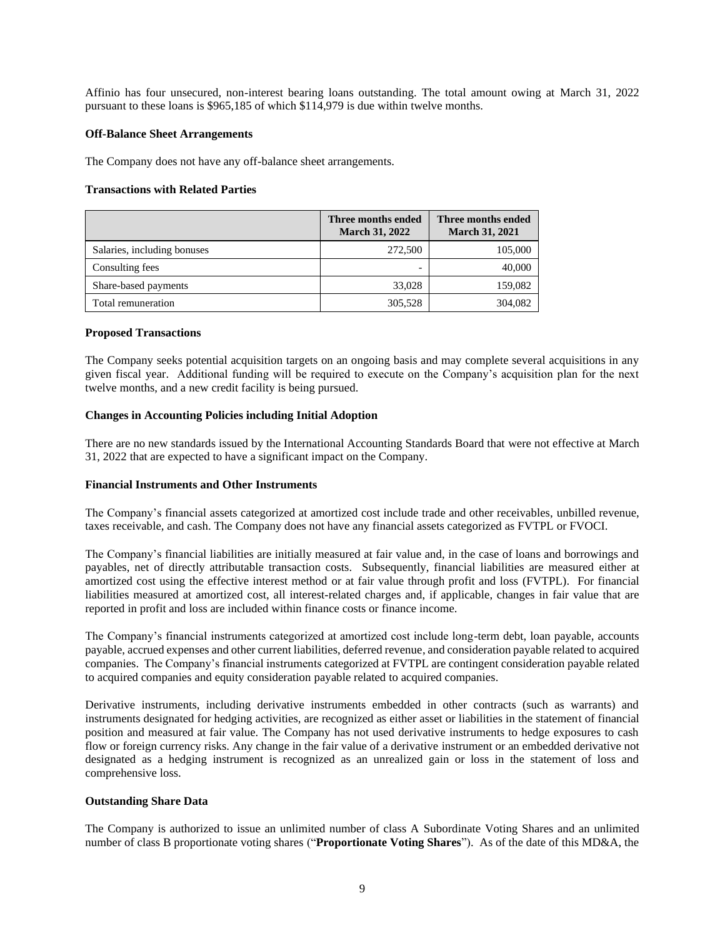Affinio has four unsecured, non-interest bearing loans outstanding. The total amount owing at March 31, 2022 pursuant to these loans is \$965,185 of which \$114,979 is due within twelve months.

## **Off-Balance Sheet Arrangements**

The Company does not have any off-balance sheet arrangements.

## **Transactions with Related Parties**

|                             | Three months ended<br><b>March 31, 2022</b> | Three months ended<br><b>March 31, 2021</b> |
|-----------------------------|---------------------------------------------|---------------------------------------------|
| Salaries, including bonuses | 272,500                                     | 105,000                                     |
| Consulting fees             |                                             | 40,000                                      |
| Share-based payments        | 33,028                                      | 159,082                                     |
| Total remuneration          | 305,528                                     | 304,082                                     |

## **Proposed Transactions**

The Company seeks potential acquisition targets on an ongoing basis and may complete several acquisitions in any given fiscal year. Additional funding will be required to execute on the Company's acquisition plan for the next twelve months, and a new credit facility is being pursued.

## **Changes in Accounting Policies including Initial Adoption**

There are no new standards issued by the International Accounting Standards Board that were not effective at March 31, 2022 that are expected to have a significant impact on the Company.

## **Financial Instruments and Other Instruments**

The Company's financial assets categorized at amortized cost include trade and other receivables, unbilled revenue, taxes receivable, and cash. The Company does not have any financial assets categorized as FVTPL or FVOCI.

The Company's financial liabilities are initially measured at fair value and, in the case of loans and borrowings and payables, net of directly attributable transaction costs. Subsequently, financial liabilities are measured either at amortized cost using the effective interest method or at fair value through profit and loss (FVTPL). For financial liabilities measured at amortized cost, all interest-related charges and, if applicable, changes in fair value that are reported in profit and loss are included within finance costs or finance income.

The Company's financial instruments categorized at amortized cost include long-term debt, loan payable, accounts payable, accrued expenses and other current liabilities, deferred revenue, and consideration payable related to acquired companies. The Company's financial instruments categorized at FVTPL are contingent consideration payable related to acquired companies and equity consideration payable related to acquired companies.

Derivative instruments, including derivative instruments embedded in other contracts (such as warrants) and instruments designated for hedging activities, are recognized as either asset or liabilities in the statement of financial position and measured at fair value. The Company has not used derivative instruments to hedge exposures to cash flow or foreign currency risks. Any change in the fair value of a derivative instrument or an embedded derivative not designated as a hedging instrument is recognized as an unrealized gain or loss in the statement of loss and comprehensive loss.

## **Outstanding Share Data**

The Company is authorized to issue an unlimited number of class A Subordinate Voting Shares and an unlimited number of class B proportionate voting shares ("**Proportionate Voting Shares**"). As of the date of this MD&A, the